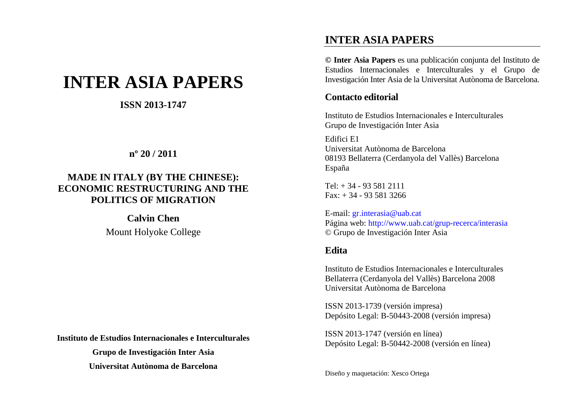# **INTER ASIA PAPERS**

#### **ISSN 2013-1747**

#### **<sup>n</sup>º 20 / 2011**

## **MADE IN ITALY (BY THE CHINESE): ECONOMIC RESTRUCTURING AND THE POLITICS OF MIGRATION**

#### **Calvin Chen**

Mount Holyoke College

**Instituto de Estudios Internacionales e Interculturales** 

**Grupo de Investigación Inter Asia Universitat Autònoma de Barcelona**

## **INTER ASIA PAPERS**

**© Inter Asia Papers** es una publicación conjunta del Instituto de Estudios Internacionales e Interculturales y el Grupo de Investigación Inter Asia de la Universitat Autònoma de Barcelona.

## **Contacto editorial**

Instituto de Estudios Internacionales e Interculturales Grupo de Investigación Inter Asia

Edifici E1 Universitat Autònoma de Barcelona 08193 Bellaterra (Cerdanyola del Vallès) Barcelona España

Tel: + 34 - 93 581 2111 Fax: + 34 - 93 581 3266

E-mail: gr.interasia@uab.cat Página web: http://www.uab.cat/grup-recerca/interasia © Grupo de Investigación Inter Asia

## **Edita**

Instituto de Estudios Internacionales e Interculturales Bellaterra (Cerdanyola del Vallès) Barcelona 2008 Universitat Autònoma de Barcelona

ISSN 2013-1739 (versión impresa) Depósito Legal: B-50443-2008 (versión impresa)

ISSN 2013-1747 (versión en línea) Depósito Legal: B-50442-2008 (versión en línea)

Diseño y maquetación: Xesco Ortega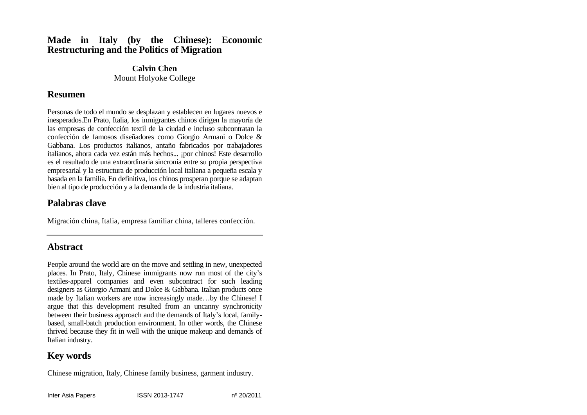#### **Made in Italy (by the Chinese): Economic Restructuring and the Politics of Migration**

**Calvin Chen** Mount Holyoke College

#### **Resumen**

Personas de todo el mundo se desplazan y establecen en lugares nuevos e inesperados.En Prato, Italia, los inmigrantes chinos dirigen la mayoría de las empresas de confección textil de la ciudad e incluso subcontratan la confección de famosos diseñadores como Giorgio Armani o Dolce & Gabbana. Los productos italianos, antaño fabricados por trabajadores italianos, ahora cada vez están más hechos... ¡por chinos! Este desarrollo es el resultado de una extraordinaria sincronía entre su propia perspectiva empresarial y la estructura de producción local italiana a pequeña escala y basada en la familia. En definitiva, los chinos prosperan porque se adaptan bien al tipo de producción y a la demanda de la industria italiana.

#### **Palabras clave**

Migración china, Italia, empresa familiar china, talleres confección.

### **Abstract**

People around the world are on the move and settling in new, unexpected places. In Prato, Italy, Chinese immigrants now run most of the city's textiles-apparel companies and even subcontract for such leading designers as Giorgio Armani and Dolce & Gabbana. Italian products once made by Italian workers are now increasingly made…by the Chinese! I argue that this development resulted from an uncanny synchronicity between their business approach and the demands of Italy's local, familybased, small-batch production environment. In other words, the Chinese thrived because they fit in well with the unique makeup and demands of Italian industry.

## **Key words**

Chinese migration, Italy, Chinese family business, garment industry.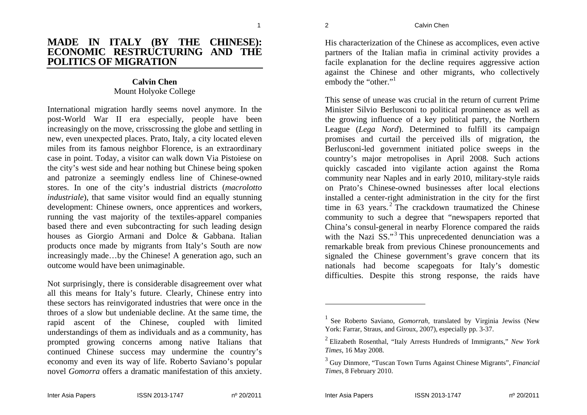1

#### **MADE IN ITALY (BY THE CHINESE): ECONOMIC RESTRUCTURING AND THE POLITICS OF MIGRATION**

#### **Calvin Chen** Mount Holyoke College

International migration hardly seems novel anymore. In the post-World War II era especially, people have been increasingly on the move, crisscrossing the globe and settling in new, even unexpected places. Prato, Italy, a city located eleven miles from its famous neighbor Florence, is an extraordinary case in point. Today, a visitor can walk down Via Pistoiese on the city's west side and hear nothing but Chinese being spoken and patronize a seemingly endless line of Chinese-owned stores. In one of the city's industrial districts (*macrolotto industriale*), that same visitor would find an equally stunning development: Chinese owners, once apprentices and workers, running the vast majority of the textiles-apparel companies based there and even subcontracting for such leading design houses as Giorgio Armani and Dolce & Gabbana. Italian products once made by migrants from Italy's South are now increasingly made…by the Chinese! A generation ago, such an outcome would have been unimaginable.

Not surprisingly, there is considerable disagreement over what all this means for Italy's future. Clearly, Chinese entry into these sectors has reinvigorated industries that were once in the throes of a slow but undeniable decline. At the same time, the rapid ascent of the Chinese, coupled with limited understandings of them as individuals and as a community, has prompted growing concerns among native Italians that continued Chinese success may undermine the country's economy and even its way of life. Roberto Saviano's popular novel *Gomorra* offers a dramatic manifestation of this anxiety.

His characterization of the Chinese as accomplices, even active partners of the Italian mafia in criminal activity provides a facile explanation for the decline requires aggressive action against the Chinese and other migrants, who collectively embody the "other."<sup>1</sup>

This sense of unease was crucial in the return of current Prime Minister Silvio Berlusconi to political prominence as well as the growing influence of a key political party, the Northern League (*Lega Nord*). Determined to fulfill its campaign promises and curtail the perceived ills of migration, the Berlusconi-led government initiated police sweeps in the country's major metropolises in April 2008. Such actions quickly cascaded into vigilante action against the Roma community near Naples and in early 2010, military-style raids on Prato's Chinese-owned businesses after local elections installed a center-right administration in the city for the first time in  $63$  years.<sup>2</sup> The crackdown traumatized the Chinese community to such a degree that "newspapers reported that China's consul-general in nearby Florence compared the raids with the Nazi  $SS$ ."<sup>3</sup> This unprecedented denunciation was a remarkable break from previous Chinese pronouncements and signaled the Chinese government's grave concern that its nationals had become scapegoats for Italy's domestic difficulties. Despite this strong response, the raids have

<sup>1</sup> See Roberto Saviano, *Gomorrah,* translated by Virginia Jewiss (New York: Farrar, Straus, and Giroux, 2007), especially pp. 3-37.

<sup>2</sup> Elizabeth Rosenthal, "Italy Arrests Hundreds of Immigrants," *New York Times*, 16 May 2008.

<sup>3</sup> Guy Dinmore, "Tuscan Town Turns Against Chinese Migrants", *Financial Times*, 8 February 2010.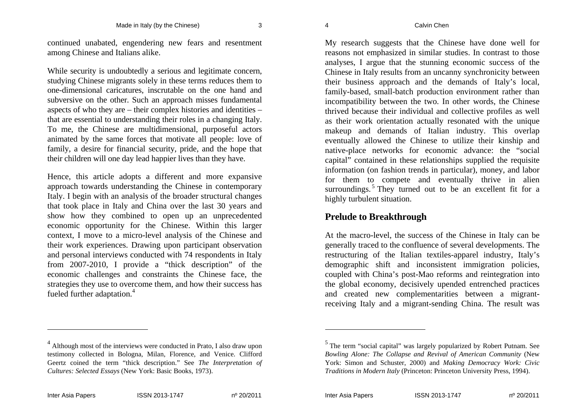continued unabated, engendering new fears and resentment among Chinese and Italians alike.

While security is undoubtedly a serious and legitimate concern, studying Chinese migrants solely in these terms reduces them to one-dimensional caricatures, inscrutable on the one hand and subversive on the other. Such an approach misses fundamental aspects of who they are – their complex histories and identities – that are essential to understanding their roles in a changing Italy. To me, the Chinese are multidimensional, purposeful actors animated by the same forces that motivate all people: love of family, a desire for financial security, pride, and the hope that their children will one day lead happier lives than they have.

Hence, this article adopts a different and more expansive approach towards understanding the Chinese in contemporary Italy. I begin with an analysis of the broader structural changes that took place in Italy and China over the last 30 years and show how they combined to open up an unprecedented economic opportunity for the Chinese. Within this larger context, I move to a micro-level analysis of the Chinese and their work experiences. Drawing upon participant observation and personal interviews conducted with 74 respondents in Italy from 2007-2010, I provide a "thick description" of the economic challenges and constraints the Chinese face, the strategies they use to overcome them, and how their success has fueled further adaptation.<sup>4</sup>

My research suggests that the Chinese have done well for reasons not emphasized in similar studies. In contrast to those analyses, I argue that the stunning economic success of the Chinese in Italy results from an uncanny synchronicity between their business approach and the demands of Italy's local, family-based, small-batch production environment rather than incompatibility between the two. In other words, the Chinese thrived because their individual and collective profiles as well as their work orientation actually resonated with the unique makeup and demands of Italian industry. This overlap eventually allowed the Chinese to utilize their kinship and native-place networks for economic advance: the "social capital" contained in these relationships supplied the requisite information (on fashion trends in particular), money, and labor for them to compete and eventually thrive in alien surroundings.<sup>5</sup> They turned out to be an excellent fit for a highly turbulent situation.

#### **Prelude to Breakthrough**

At the macro-level, the success of the Chinese in Italy can be generally traced to the confluence of several developments. The restructuring of the Italian textiles-apparel industry, Italy's demographic shift and inconsistent immigration policies, coupled with China's post-Mao reforms and reintegration into the global economy, decisively upended entrenched practices and created new complementarities between a migrantreceiving Italy and a migrant-sending China. The result was

<sup>&</sup>lt;sup>4</sup> Although most of the interviews were conducted in Prato, I also draw upon testimony collected in Bologna, Milan, Florence, and Venice. Clifford Geertz coined the term "thick description." See *The Interpretation of Cultures: Selected Essays* (New York: Basic Books, 1973).

<sup>&</sup>lt;sup>5</sup> The term "social capital" was largely popularized by Robert Putnam. See *Bowling Alone: The Collapse and Revival of American Community* (New York: Simon and Schuster, 2000) and *Making Democracy Work: Civic Traditions in Modern Italy* (Princeton: Princeton University Press, 1994).

Inter Asia Papers ISSN 2013-1747 nº 20/2011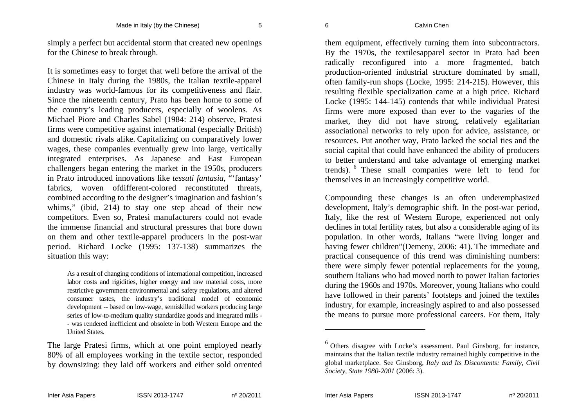simply a perfect but accidental storm that created new openings for the Chinese to break through.

It is sometimes easy to forget that well before the arrival of the Chinese in Italy during the 1980s, the Italian textile-apparel industry was world-famous for its competitiveness and flair. Since the nineteenth century, Prato has been home to some of the country's leading producers, especially of woolens. As Michael Piore and Charles Sabel (1984: 214) observe, Pratesi firms were competitive against international (especially British) and domestic rivals alike. Capitalizing on comparatively lower wages, these companies eventually grew into large, vertically integrated enterprises. As Japanese and East European challengers began entering the market in the 1950s, producers in Prato introduced innovations like *tessuti fantasia*, "'fantasy' fabrics, woven of different-colored reconstituted threats, combined according to the designer's imagination and fashion's whims," (ibid, 214) to stay one step ahead of their new competitors. Even so, Pratesi manufacturers could not evade the immense financial and structural pressures that bore down on them and other textile-apparel producers in the post-war period. Richard Locke (1995: 137-138) summarizes the situation this way:

As a result of changing conditions of international competition, increased labor costs and rigidities, higher energy and raw material costs, more restrictive government environmental and safety regulations, and altered consumer tastes, the industry's traditional model of economic development -- based on low-wage, semiskilled workers producing large series of low-to-medium quality standardize goods and integrated mills - - was rendered inefficient and obsolete in both Western Europe and the United States.

The large Pratesi firms, which at one point employed nearly 80% of all employees working in the textile sector, responded by downsizing: they laid off workers and either sold orrented

them equipment, effectively turning them into subcontractors. By the 1970s, the textilesapparel sector in Prato had been radically reconfigured into a more fragmented, batch production-oriented industrial structure dominated by small, often family-run shops (Locke, 1995: 214-215). However, this resulting flexible specialization came at a high price. Richard Locke (1995: 144-145) contends that while individual Pratesi firms were more exposed than ever to the vagaries of the market, they did not have strong, relatively egalitarian associational networks to rely upon for advice, assistance, or resources. Put another way, Prato lacked the social ties and the social capital that could have enhanced the ability of producers to better understand and take advantage of emerging market trends). <sup>6</sup> These small companies were left to fend for themselves in an increasingly competitive world.

Compounding these changes is an often underemphasized development, Italy's demographic shift. In the post-war period, Italy, like the rest of Western Europe, experienced not only declines in total fertility rates, but also a considerable aging of its population. In other words, Italians "were living longer and having fewer children"(Demeny, 2006: 41). The immediate and practical consequence of this trend was diminishing numbers: there were simply fewer potential replacements for the young, southern Italians who had moved north to power Italian factories during the 1960s and 1970s. Moreover, young Italians who could have followed in their parents' footsteps and joined the textiles industry, for example, increasingly aspired to and also possessed the means to pursue more professional careers. For them, Italy

 $6$  Others disagree with Locke's assessment. Paul Ginsborg, for instance, maintains that the Italian textile industry remained highly competitive in the global marketplace. See Ginsborg, *Italy and Its Discontents: Family, Civil Society, State 1980-2001* (2006: 3).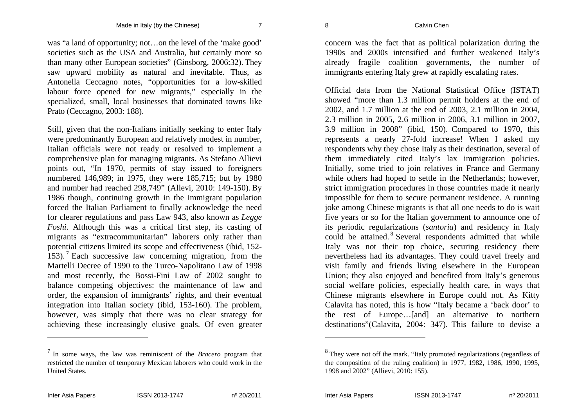was "a land of opportunity; not…on the level of the 'make good' societies such as the USA and Australia, but certainly more so than many other European societies" (Ginsborg, 2006:32). They saw upward mobility as natural and inevitable. Thus, as Antonella Ceccagno notes, "opportunities for a low-skilled labour force opened for new migrants," especially in the specialized, small, local businesses that dominated towns like Prato (Ceccagno, 2003: 188).

Still, given that the non-Italians initially seeking to enter Italy were predominantly European and relatively modest in number, Italian officials were not ready or resolved to implement a comprehensive plan for managing migrants. As Stefano Allievi points out, "In 1970, permits of stay issued to foreigners numbered 146,989; in 1975, they were 185,715; but by 1980 and number had reached 298,749" (Allevi, 2010: 149-150). By 1986 though, continuing growth in the immigrant population forced the Italian Parliament to finally acknowledge the need for clearer regulations and pass Law 943, also known as *Legge Foshi*. Although this was a critical first step, its casting of migrants as "extracommunitarian" laborers only rather than potential citizens limited its scope and effectiveness (ibid, 152- 153). <sup>7</sup> Each successive law concerning migration, from the Martelli Decree of 1990 to the Turco-Napolitano Law of 1998 and most recently, the Bossi-Fini Law of 2002 sought to balance competing objectives: the maintenance of law and order, the expansion of immigrants' rights, and their eventual integration into Italian society (ibid, 153-160). The problem, however, was simply that there was no clear strategy for achieving these increasingly elusive goals. Of even greater

concern was the fact that as political polarization during the 1990s and 2000s intensified and further weakened Italy's already fragile coalition governments, the number of immigrants entering Italy grew at rapidly escalating rates.

Official data from the National Statistical Office (ISTAT) showed "more than 1.3 million permit holders at the end of 2002, and 1.7 million at the end of 2003, 2.1 million in 2004, 2.3 million in 2005, 2.6 million in 2006, 3.1 million in 2007, 3.9 million in 2008" (ibid, 150). Compared to 1970, this represents a nearly 27-fold increase! When I asked my respondents why they chose Italy as their destination, several of them immediately cited Italy's lax immigration policies. Initially, some tried to join relatives in France and Germany while others had hoped to settle in the Netherlands; however, strict immigration procedures in those countries made it nearly impossible for them to secure permanent residence. A running joke among Chinese migrants is that all one needs to do is wait five years or so for the Italian government to announce one of its periodic regularizations (*santoria*) and residency in Italy could be attained.<sup>8</sup> Several respondents admitted that while Italy was not their top choice, securing residency there nevertheless had its advantages. They could travel freely and visit family and friends living elsewhere in the European Union; they also enjoyed and benefited from Italy's generous social welfare policies, especially health care, in ways that Chinese migrants elsewhere in Europe could not. As Kitty Calavita has noted, this is how "Italy became a 'back door' to the rest of Europe…[and] an alternative to northern destinations"(Calavita, 2004: 347). This failure to devise a

<sup>7</sup> In some ways, the law was reminiscent of the *Bracero* program that restricted the number of temporary Mexican laborers who could work in the United States.

<sup>&</sup>lt;sup>8</sup> They were not off the mark. "Italy promoted regularizations (regardless of the composition of the ruling coalition) in 1977, 1982, 1986, 1990, 1995, 1998 and 2002" (Allievi, 2010: 155).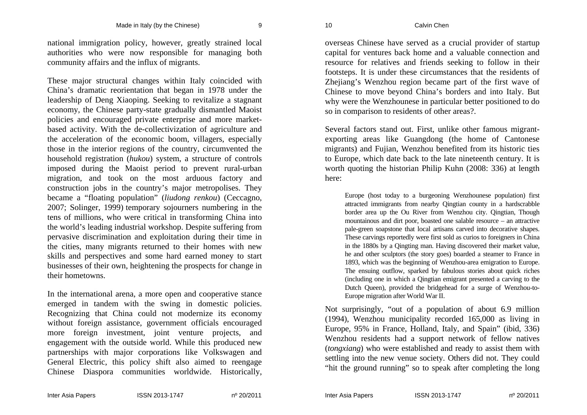10 Calvin Chen

national immigration policy, however, greatly strained local authorities who were now responsible for managing both community affairs and the influx of migrants.

These major structural changes within Italy coincided with China's dramatic reorientation that began in 1978 under the leadership of Deng Xiaoping. Seeking to revitalize a stagnant economy, the Chinese party-state gradually dismantled Maoist policies and encouraged private enterprise and more marketbased activity. With the de-collectivization of agriculture and the acceleration of the economic boom, villagers, especially those in the interior regions of the country, circumvented the household registration (*hukou*) system, a structure of controls imposed during the Maoist period to prevent rural-urban migration, and took on the most arduous factory and construction jobs in the country's major metropolises. They became a "floating population" (*liudong renkou*) (Ceccagno, 2007; Solinger, 1999) temporary sojourners numbering in the tens of millions, who were critical in transforming China into the world's leading industrial workshop. Despite suffering from pervasive discrimination and exploitation during their time in the cities, many migrants returned to their homes with new skills and perspectives and some hard earned money to start businesses of their own, heightening the prospects for change in their hometowns.

In the international arena, a more open and cooperative stance emerged in tandem with the swing in domestic policies. Recognizing that China could not modernize its economy without foreign assistance, government officials encouraged more foreign investment, joint venture projects, and engagement with the outside world. While this produced new partnerships with major corporations like Volkswagen and General Electric, this policy shift also aimed to reengage Chinese Diaspora communities worldwide. Historically,

overseas Chinese have served as a crucial provider of startup capital for ventures back home and a valuable connection and resource for relatives and friends seeking to follow in their footsteps. It is under these circumstances that the residents of Zhejiang's Wenzhou region became part of the first wave of Chinese to move beyond China's borders and into Italy. But why were the Wenzhounese in particular better positioned to do so in comparison to residents of other areas?.

Several factors stand out. First, unlike other famous migrantexporting areas like Guangdong (the home of Cantonese migrants) and Fujian, Wenzhou benefited from its historic ties to Europe, which date back to the late nineteenth century. It is worth quoting the historian Philip Kuhn (2008: 336) at length here:

Europe (host today to a burgeoning Wenzhounese population) first attracted immigrants from nearby Qingtian county in a hardscrabble border area up the Ou River from Wenzhou city. Qingtian, Though mountainous and dirt poor, boasted one salable resource – an attractive pale-green soapstone that local artisans carved into decorative shapes. These carvings reportedly were first sold as curios to foreigners in China in the 1880s by a Qingting man. Having discovered their market value, he and other sculptors (the story goes) boarded a steamer to France in 1893, which was the beginning of Wenzhou-area emigration to Europe. The ensuing outflow, sparked by fabulous stories about quick riches (including one in which a Qingtian emigrant presented a carving to the Dutch Queen), provided the bridgehead for a surge of Wenzhou-to-Europe migration after World War II.

Not surprisingly, "out of a population of about 6.9 million (1994), Wenzhou municipality recorded 165,000 as living in Europe, 95% in France, Holland, Italy, and Spain" (ibid, 336) Wenzhou residents had a support network of fellow natives (*tongxiang*) who were established and ready to assist them with settling into the new venue society. Others did not. They could "hit the ground running" so to speak after completing the long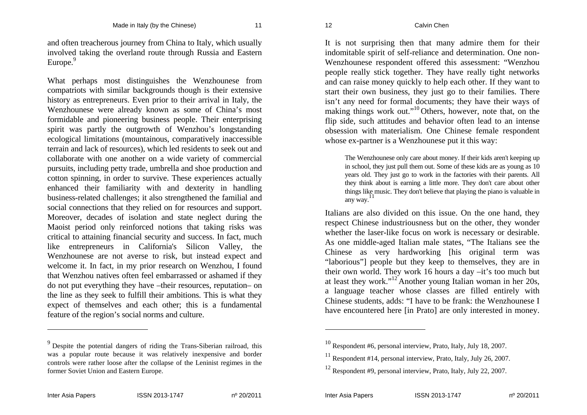and often treacherous journey from China to Italy, which usually involved taking the overland route through Russia and Eastern Europe.<sup>9</sup>

What perhaps most distinguishes the Wenzhounese from compatriots with similar backgrounds though is their extensive history as entrepreneurs. Even prior to their arrival in Italy, the Wenzhounese were already known as some of China's most formidable and pioneering business people. Their enterprising spirit was partly the outgrowth of Wenzhou's longstanding ecological limitations (mountainous, comparatively inaccessible terrain and lack of resources), which led residents to seek out and collaborate with one another on a wide variety of commercial pursuits, including petty trade, umbrella and shoe production and cotton spinning, in order to survive. These experiences actually enhanced their familiarity with and dexterity in handling business-related challenges; it also strengthened the familial and social connections that they relied on for resources and support. Moreover, decades of isolation and state neglect during the Maoist period only reinforced notions that taking risks was critical to attaining financial security and success. In fact, much like entrepreneurs in California's Silicon Valley, the Wenzhounese are not averse to risk, but instead expect and welcome it. In fact, in my prior research on Wenzhou, I found that Wenzhou natives often feel embarrassed or ashamed if they do not put everything they have –their resources, reputation– on the line as they seek to fulfill their ambitions. This is what they expect of themselves and each other; this is a fundamental feature of the region's social norms and culture.

It is not surprising then that many admire them for their indomitable spirit of self-reliance and determination. One non-Wenzhounese respondent offered this assessment: "Wenzhou people really stick together. They have really tight networks and can raise money quickly to help each other. If they want to start their own business, they just go to their families. There isn't any need for formal documents; they have their ways of making things work out."<sup>10</sup> Others, however, note that, on the flip side, such attitudes and behavior often lead to an intense obsession with materialism. One Chinese female respondent whose ex-partner is a Wenzhounese put it this way:

The Wenzhounese only care about money. If their kids aren't keeping up in school, they just pull them out. Some of these kids are as young as 10 years old. They just go to work in the factories with their parents. All they think about is earning a little more. They don't care about other things like music. They don't believe that playing the piano is valuable in any way. 11

Italians are also divided on this issue. On the one hand, they respect Chinese industriousness but on the other, they wonder whether the laser-like focus on work is necessary or desirable. As one middle-aged Italian male states, "The Italians see the Chinese as very hardworking [his original term was "laborious"] people but they keep to themselves, they are in their own world. They work 16 hours a day –it's too much but at least they work."<sup>12</sup> Another young Italian woman in her 20s, a language teacher whose classes are filled entirely with Chinese students, adds: "I have to be frank: the Wenzhounese I have encountered here [in Prato] are only interested in money.

<sup>&</sup>lt;sup>9</sup> Despite the potential dangers of riding the Trans-Siberian railroad, this was a popular route because it was relatively inexpensive and border controls were rather loose after the collapse of the Leninist regimes in the former Soviet Union and Eastern Europe.

 $10$  Respondent #6, personal interview, Prato, Italy, July 18, 2007.

 $11$  Respondent #14, personal interview, Prato, Italy, July 26, 2007.

 $12$  Respondent #9, personal interview, Prato, Italy, July 22, 2007.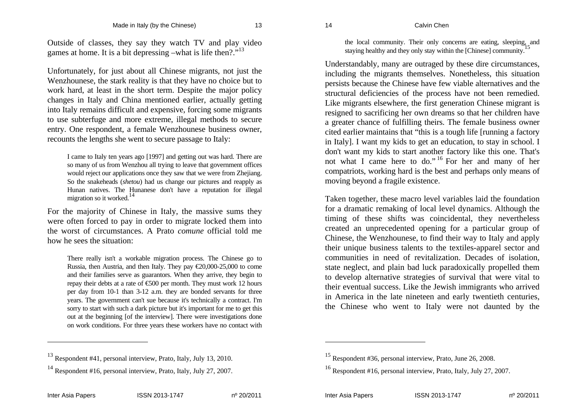Outside of classes, they say they watch TV and play video games at home. It is a bit depressing –what is life then?."<sup>13</sup>

Unfortunately, for just about all Chinese migrants, not just the Wenzhounese, the stark reality is that they have no choice but to work hard, at least in the short term. Despite the major policy changes in Italy and China mentioned earlier, actually getting into Italy remains difficult and expensive, forcing some migrants to use subterfuge and more extreme, illegal methods to secure entry. One respondent, a female Wenzhounese business owner, recounts the lengths she went to secure passage to Italy:

I came to Italy ten years ago [1997] and getting out was hard. There are so many of us from Wenzhou all trying to leave that government offices would reject our applications once they saw that we were from Zhejiang. So the snakeheads (*shetou*) had us change our pictures and reapply as Hunan natives. The Hunanese don't have a reputation for illegal migration so it worked.<sup>14</sup>

For the majority of Chinese in Italy, the massive sums they were often forced to pay in order to migrate locked them into the worst of circumstances. A Prato *comune* official told me how he sees the situation:

There really isn't a workable migration process. The Chinese go to Russia, then Austria, and then Italy. They pay  $\infty$  0.000-25,000 to come and their families serve as guarantors. When they arrive, they begin to repay their debts at a rate of €500 per month. They must work 12 hours per day from 10-1 than 3-12 a.m. they are bonded servants for three years. The government can't sue because it's technically a contract. I'm sorry to start with such a dark picture but it's important for me to get this out at the beginning [of the interview]. There were investigations done on work conditions. For three years these workers have no contact with 14 Calvin Chen

Understandably, many are outraged by these dire circumstances, including the migrants themselves. Nonetheless, this situation persists because the Chinese have few viable alternatives and the structural deficiencies of the process have not been remedied. Like migrants elsewhere, the first generation Chinese migrant is resigned to sacrificing her own dreams so that her children have a greater chance of fulfilling theirs. The female business owner cited earlier maintains that "this is a tough life [running a factory in Italy]. I want my kids to get an education, to stay in school. I don't want my kids to start another factory like this one. That's not what I came here to do."<sup>16</sup> For her and many of her compatriots, working hard is the best and perhaps only means of moving beyond a fragile existence.

Taken together, these macro level variables laid the foundation for a dramatic remaking of local level dynamics. Although the timing of these shifts was coincidental, they nevertheless created an unprecedented opening for a particular group of Chinese, the Wenzhounese, to find their way to Italy and apply their unique business talents to the textiles-apparel sector and communities in need of revitalization. Decades of isolation, state neglect, and plain bad luck paradoxically propelled them to develop alternative strategies of survival that were vital to their eventual success. Like the Jewish immigrants who arrived in America in the late nineteen and early twentieth centuries, the Chinese who went to Italy were not daunted by the

the local community. Their only concerns are eating, sleeping, and staying healthy and they only stay within the [Chinese] community.

<sup>&</sup>lt;sup>13</sup> Respondent #41, personal interview, Prato, Italy, July 13, 2010.

<sup>&</sup>lt;sup>14</sup> Respondent #16, personal interview, Prato, Italy, July 27, 2007.

<sup>15</sup> Respondent #36, personal interview, Prato, June 26, 2008.

 $16$  Respondent #16, personal interview, Prato, Italy, July 27, 2007.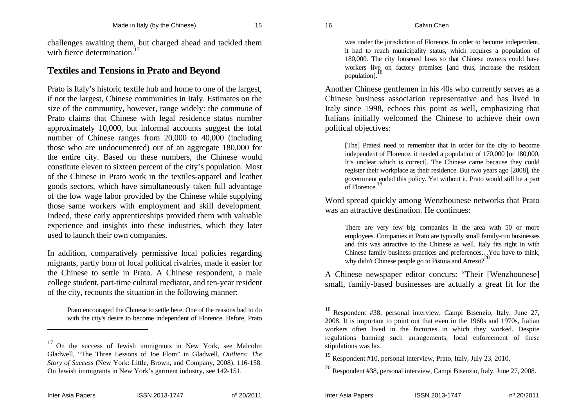challenges awaiting them, but charged ahead and tackled them with fierce determination.<sup>17</sup>

#### **Textiles and Tensions in Prato and Beyond**

Prato is Italy's historic textile hub and home to one of the largest, if not the largest, Chinese communities in Italy. Estimates on the size of the community, however, range widely: the *commune* of Prato claims that Chinese with legal residence status number approximately 10,000, but informal accounts suggest the total number of Chinese ranges from 20,000 to 40,000 (including those who are undocumented) out of an aggregate 180,000 for the entire city. Based on these numbers, the Chinese would constitute eleven to sixteen percent of the city's population. Most of the Chinese in Prato work in the textiles-apparel and leather goods sectors, which have simultaneously taken full advantage of the low wage labor provided by the Chinese while supplying those same workers with employment and skill development. Indeed, these early apprenticeships provided them with valuable experience and insights into these industries, which they later used to launch their own companies.

In addition, comparatively permissive local policies regarding migrants, partly born of local political rivalries, made it easier for the Chinese to settle in Prato. A Chinese respondent, a male college student, part-time cultural mediator, and ten-year resident of the city, recounts the situation in the following manner:

Prato encouraged the Chinese to settle here. One of the reasons had to do with the city's desire to become independent of Florence. Before, Prato

was under the jurisdiction of Florence. In order to become independent, it had to reach municipality status, which requires a population of 180,000. The city loosened laws so that Chinese owners could have workers live on factory premises [and thus, increase the resident population].<sup>18</sup>

Another Chinese gentlemen in his 40s who currently serves as a Chinese business association representative and has lived in Italy since 1998, echoes this point as well, emphasizing that Italians initially welcomed the Chinese to achieve their own political objectives:

[The] Pratesi need to remember that in order for the city to become independent of Florence, it needed a population of 170,000 [or 180,000. It's unclear which is correct]. The Chinese came because they could register their workplace as their residence. But two years ago [2008], the government ended this policy. Yet without it, Prato would still be a part of Florence.

Word spread quickly among Wenzhounese networks that Prato was an attractive destination. He continues:

There are very few big companies in the area with 50 or more employees. Companies in Prato are typically small family-run businesses and this was attractive to the Chinese as well. Italy fits right in with Chinese family business practices and preferences…You have to think, why didn't Chinese people go to Pistoia and Arrezo?<sup>20</sup>

A Chinese newspaper editor concurs: "Their [Wenzhounese] small, family-based businesses are actually a great fit for the

<sup>&</sup>lt;sup>17</sup> On the success of Jewish immigrants in New York, see Malcolm Gladwell, "The Three Lessons of Joe Flom" in Gladwell, *Outliers: The Story of Success* (New York: Little, Brown, and Company, 2008), 116-158. On Jewish immigrants in New York's garment industry, see 142-151.

<sup>18</sup> Respondent #38, personal interview, Campi Bisenzio, Italy, June 27, 2008. It is important to point out that even in the 1960s and 1970s, Italian workers often lived in the factories in which they worked. Despite regulations banning such arrangements, local enforcement of these stipulations was lax.

<sup>19</sup> Respondent #10, personal interview, Prato, Italy, July 23, 2010.

<sup>20</sup> Respondent #38, personal interview, Campi Bisenzio, Italy, June 27, 2008.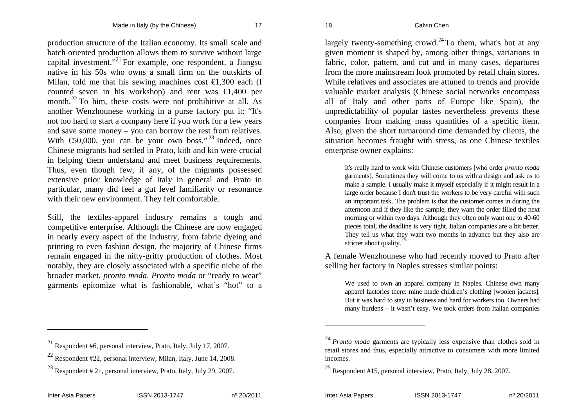18 Calvin Chen

production structure of the Italian economy. Its small scale and batch oriented production allows them to survive without large capital investment."<sup>21</sup> For example, one respondent, a Jiangsu native in his 50s who owns a small firm on the outskirts of Milan, told me that his sewing machines cost  $\in$ 1,300 each (I counted seven in his workshop) and rent was  $\in$ 1,400 per month.<sup>22</sup> To him, these costs were not prohibitive at all. As another Wenzhounese working in a purse factory put it: "It's not too hard to start a company here if you work for a few years and save some money – you can borrow the rest from relatives. With  $\epsilon$ 50,000, you can be your own boss."<sup>23</sup> Indeed, once Chinese migrants had settled in Prato, kith and kin were crucial in helping them understand and meet business requirements. Thus, even though few, if any, of the migrants possessed extensive prior knowledge of Italy in general and Prato in particular, many did feel a gut level familiarity or resonance with their new environment. They felt comfortable.

Still, the textiles-apparel industry remains a tough and competitive enterprise. Although the Chinese are now engaged in nearly every aspect of the industry, from fabric dyeing and printing to even fashion design, the majority of Chinese firms remain engaged in the nitty-gritty production of clothes. Most notably, they are closely associated with a specific niche of the broader market, *pronto moda*. *Pronto moda* or "ready to wear" garments epitomize what is fashionable, what's "hot" to a

largely twenty-something crowd.<sup>24</sup> To them, what's hot at any given moment is shaped by, among other things, variations in fabric, color, pattern, and cut and in many cases, departures from the more mainstream look promoted by retail chain stores. While relatives and associates are attuned to trends and provide valuable market analysis (Chinese social networks encompass all of Italy and other parts of Europe like Spain), the unpredictability of popular tastes nevertheless prevents these companies from making mass quantities of a specific item. Also, given the short turnaround time demanded by clients, the situation becomes fraught with stress, as one Chinese textiles enterprise owner explains:

It's really hard to work with Chinese customers [who order *pronto moda*  garments]. Sometimes they will come to us with a design and ask us to make a sample. I usually make it myself especially if it might result in a large order because I don't trust the workers to be very careful with such an important task. The problem is that the customer comes in during the afternoon and if they like the sample, they want the order filled the next morning or within two days. Although they often only want one to 40-60 pieces total, the deadline is very tight. Italian companies are a bit better. They tell us what they want two months in advance but they also are stricter about quality.

A female Wenzhounese who had recently moved to Prato after selling her factory in Naples stresses similar points:

We used to own an apparel company in Naples. Chinese own many apparel factories there: mine made children's clothing [woolen jackets]. But it was hard to stay in business and hard for workers too. Owners had many burdens – it wasn't easy. We took orders from Italian companies

<sup>&</sup>lt;sup>21</sup> Respondent #6, personal interview, Prato, Italy, July 17, 2007.

 $^{22}$  Respondent #22, personal interview, Milan, Italy, June 14, 2008.

<sup>&</sup>lt;sup>23</sup> Respondent # 21, personal interview, Prato, Italy, July 29, 2007.

<sup>24</sup> *Pronto moda* garments are typically less expensive than clothes sold in retail stores and thus, especially attractive to consumers with more limited incomes.

 $25$  Respondent #15, personal interview, Prato, Italy, July 28, 2007.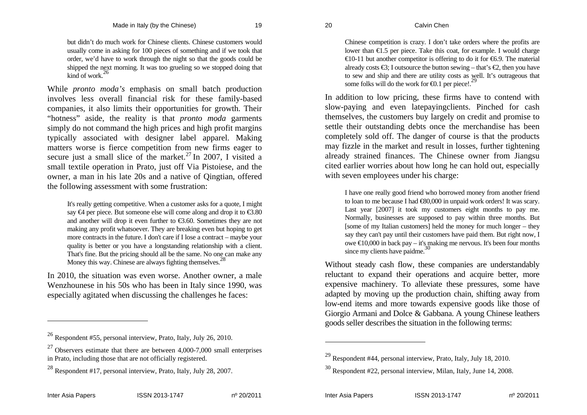but didn't do much work for Chinese clients. Chinese customers would usually come in asking for 100 pieces of something and if we took that order, we'd have to work through the night so that the goods could be shipped the next morning. It was too grueling so we stopped doing that  $\sin \theta$  of work.<sup>26</sup>

While *pronto moda's* emphasis on small batch production involves less overall financial risk for these family-based companies, it also limits their opportunities for growth. Their "hotness" aside, the reality is that *pronto moda* garments simply do not command the high prices and high profit margins typically associated with designer label apparel. Making matters worse is fierce competition from new firms eager to secure just a small slice of the market.<sup>27</sup> In 2007, I visited a small textile operation in Prato, just off Via Pistoiese, and the owner, a man in his late 20s and a native of Qingtian, offered the following assessment with some frustration:

It's really getting competitive. When a customer asks for a quote, I might say €4 per piece. But someone else will come along and drop it to €3.80 and another will drop it even further to  $\epsilon$ 3.60. Sometimes they are not making any profit whatsoever. They are breaking even but hoping to get more contracts in the future. I don't care if I lose a contract – maybe your quality is better or you have a longstanding relationship with a client. That's fine. But the pricing should all be the same. No one can make any Money this way. Chinese are always fighting themselves.<sup>28</sup>

In 2010, the situation was even worse. Another owner, a male Wenzhounese in his 50s who has been in Italy since 1990, was especially agitated when discussing the challenges he faces:

Inter Asia Papers ISSN 2013-1747 holds and no 20/2011

Chinese competition is crazy. I don't take orders where the profits are lower than  $\bigoplus$  5 per piece. Take this coat, for example. I would charge  $\epsilon$ 10-11 but another competitor is offering to do it for  $\epsilon$ 6.9. The material already costs  $\bigoplus$ : I outsource the button sewing – that's  $\bigoplus$ , then you have to sew and ship and there are utility costs as well. It's outrageous that some folks will do the work for  $\epsilon 0.1$  per piece!.<sup>29</sup>

In addition to low pricing, these firms have to contend with slow-paying and even latepayingclients. Pinched for cash themselves, the customers buy largely on credit and promise to settle their outstanding debts once the merchandise has been completely sold off. The danger of course is that the products may fizzle in the market and result in losses, further tightening already strained finances. The Chinese owner from Jiangsu cited earlier worries about how long he can hold out, especially with seven employees under his charge:

I have one really good friend who borrowed money from another friend to loan to me because I had €80,000 in unpaid work orders! It was scary. Last year  $[2007]$  it took my customers eight months to pay me. Normally, businesses are supposed to pay within three months. But [some of my Italian customers] held the money for much longer – they say they can't pay until their customers have paid them. But right now, I owe  $€10,000$  in back pay – it's making me nervous. It's been four months since my clients have paidme.<sup>5</sup>

Without steady cash flow, these companies are understandably reluctant to expand their operations and acquire better, more expensive machinery. To alleviate these pressures, some have adapted by moving up the production chain, shifting away from low-end items and more towards expensive goods like those of Giorgio Armani and Dolce & Gabbana. A young Chinese leathers goods seller describes the situation in the following terms:

<sup>26</sup> Respondent #55, personal interview, Prato, Italy, July 26, 2010.

 $27$  Observers estimate that there are between 4,000-7,000 small enterprises in Prato, including those that are not officially registered.

 $^{28}$  Respondent #17, personal interview, Prato, Italy, July 28, 2007.

 $^{29}$  Respondent #44, personal interview, Prato, Italy, July 18, 2010.

<sup>30</sup> Respondent #22, personal interview, Milan, Italy, June 14, 2008.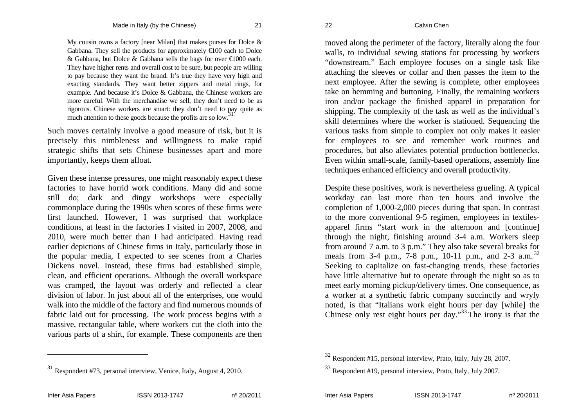My cousin owns a factory [near Milan] that makes purses for Dolce & Gabbana. They sell the products for approximately  $\bigoplus$  00 each to Dolce & Gabbana, but Dolce & Gabbana sells the bags for over  $\in$  000 each. They have higher rents and overall cost to be sure, but people are willing to pay because they want the brand. It's true they have very high and exacting standards. They want better zippers and metal rings, for example. And because it's Dolce & Gabbana, the Chinese workers are more careful. With the merchandise we sell, they don't need to be as rigorous. Chinese workers are smart: they don't need to pay quite as much attention to these goods because the profits are so low.<sup>3</sup>

Such moves certainly involve a good measure of risk, but it is precisely this nimbleness and willingness to make rapid strategic shifts that sets Chinese businesses apart and more importantly, keeps them afloat.

Given these intense pressures, one might reasonably expect these factories to have horrid work conditions. Many did and some still do; dark and dingy workshops were especially commonplace during the 1990s when scores of these firms were first launched. However, I was surprised that workplace conditions, at least in the factories I visited in 2007, 2008, and 2010, were much better than I had anticipated. Having read earlier depictions of Chinese firms in Italy, particularly those in the popular media, I expected to see scenes from a Charles Dickens novel. Instead, these firms had established simple, clean, and efficient operations. Although the overall workspace was cramped, the layout was orderly and reflected a clear division of labor. In just about all of the enterprises, one would walk into the middle of the factory and find numerous mounds of fabric laid out for processing. The work process begins with a massive, rectangular table, where workers cut the cloth into the various parts of a shirt, for example. These components are then

moved along the perimeter of the factory, literally along the four walls, to individual sewing stations for processing by workers "downstream." Each employee focuses on a single task like attaching the sleeves or collar and then passes the item to the next employee. After the sewing is complete, other employees take on hemming and buttoning. Finally, the remaining workers iron and/or package the finished apparel in preparation for shipping. The complexity of the task as well as the individual's skill determines where the worker is stationed. Sequencing the various tasks from simple to complex not only makes it easier for employees to see and remember work routines and procedures, but also alleviates potential production bottlenecks. Even within small-scale, family-based operations, assembly line techniques enhanced efficiency and overall productivity.

Despite these positives, work is nevertheless grueling. A typical workday can last more than ten hours and involve the completion of 1,000-2,000 pieces during that span. In contrast to the more conventional 9-5 regimen, employees in textilesapparel firms "start work in the afternoon and [continue] through the night, finishing around 3-4 a.m. Workers sleep from around 7 a.m. to 3 p.m." They also take several breaks for meals from 3-4 p.m., 7-8 p.m., 10-11 p.m., and 2-3 a.m.<sup>32</sup> Seeking to capitalize on fast-changing trends, these factories have little alternative but to operate through the night so as to meet early morning pickup/delivery times. One consequence, as a worker at a synthetic fabric company succinctly and wryly noted, is that "Italians work eight hours per day [while] the Chinese only rest eight hours per day."<sup>33</sup> The irony is that the

<sup>31</sup> Respondent #73, personal interview, Venice, Italy, August 4, 2010.

<sup>32</sup> Respondent #15, personal interview, Prato, Italy, July 28, 2007.

<sup>33</sup> Respondent #19, personal interview, Prato, Italy, July 2007.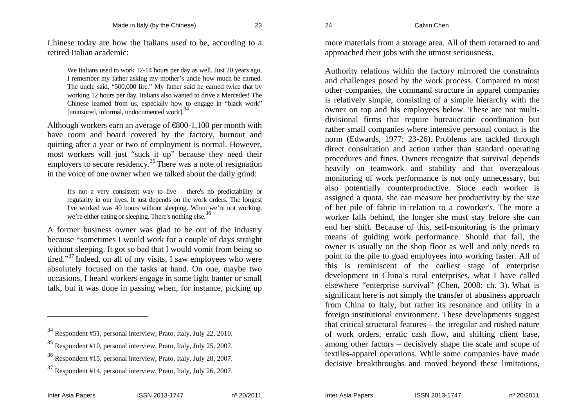Chinese today are how the Italians *used* to be, according to a retired Italian academic:

We Italians used to work 12-14 hours per day as well. Just 20 years ago, I remember my father asking my mother's uncle how much he earned. The uncle said, "500,000 lire." My father said he earned twice that by working 12 hours per day. Italians also wanted to drive a Mercedes! The Chinese learned from us, especially how to engage in "black work" [uninsured, informal, undocumented work].<sup>34</sup>

Although workers earn an average of  $\text{\textsterling}800$ -1,100 per month with have room and board covered by the factory, burnout and quitting after a year or two of employment is normal. However, most workers will just "suck it up" because they need their employers to secure residency.<sup>35</sup> There was a note of resignation in the voice of one owner when we talked about the daily grind:

It's not a very consistent way to live – there's no predictability or regularity in our lives. It just depends on the work orders. The longest I've worked was 40 hours without sleeping. When we're not working, we're either eating or sleeping. There's nothing else.<sup>36</sup>

A former business owner was glad to be out of the industry because "sometimes I would work for a couple of days straight without sleeping. It got so bad that I would vomit from being so tired."<sup>37</sup> Indeed, on all of my visits, I saw employees who were absolutely focused on the tasks at hand. On one, maybe two occasions, I heard workers engage in some light banter or small talk, but it was done in passing when, for instance, picking up

more materials from a storage area. All of them returned to and approached their jobs with the utmost seriousness.

Authority relations within the factory mirrored the constraints and challenges posed by the work process. Compared to most other companies, the command structure in apparel companies is relatively simple, consisting of a simple hierarchy with the owner on top and his employees below. These are not multidivisional firms that require bureaucratic coordination but rather small companies where intensive personal contact is the norm (Edwards, 1977: 23-26). Problems are tackled through direct consultation and action rather than standard operating procedures and fines. Owners recognize that survival depends heavily on teamwork and stability and that overzealous monitoring of work performance is not only unnecessary, but also potentially counterproductive. Since each worker is assigned a quota, she can measure her productivity by the size of her pile of fabric in relation to a coworker's. The more a worker falls behind, the longer she must stay before she can end her shift. Because of this, self-monitoring is the primary means of guiding work performance. Should that fail, the owner is usually on the shop floor as well and only needs to point to the pile to goad employees into working faster. All of this is reminiscent of the earliest stage of enterprise development in China's rural enterprises, what I have called elsewhere "enterprise survival" (Chen, 2008: ch. 3). What is significant here is not simply the transfer of abusiness approach from China to Italy, but rather its resonance and utility in a foreign institutional environment. These developments suggest that critical structural features – the irregular and rushed nature of work orders, erratic cash flow, and shifting client base, among other factors – decisively shape the scale and scope of textiles-apparel operations. While some companies have made decisive breakthroughs and moved beyond these limitations,

<sup>34</sup> Respondent #51, personal interview, Prato, Italy, July 22, 2010.

<sup>35</sup> Respondent #10, personal interview, Prato, Italy, July 25, 2007.

<sup>36</sup> Respondent #15, personal interview, Prato, Italy, July 28, 2007.

 $37$  Respondent #14, personal interview, Prato, Italy, July 26, 2007.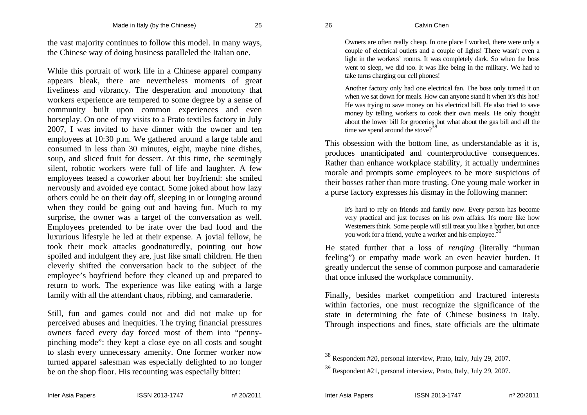While this portrait of work life in a Chinese apparel company appears bleak, there are nevertheless moments of great liveliness and vibrancy. The desperation and monotony that workers experience are tempered to some degree by a sense of community built upon common experiences and even horseplay. On one of my visits to a Prato textiles factory in July 2007, I was invited to have dinner with the owner and ten employees at 10:30 p.m. We gathered around a large table and consumed in less than 30 minutes, eight, maybe nine dishes, soup, and sliced fruit for dessert. At this time, the seemingly silent, robotic workers were full of life and laughter. A few employees teased a coworker about her boyfriend: she smiled nervously and avoided eye contact. Some joked about how lazy others could be on their day off, sleeping in or lounging around when they could be going out and having fun. Much to my surprise, the owner was a target of the conversation as well. Employees pretended to be irate over the bad food and the luxurious lifestyle he led at their expense. A jovial fellow, he took their mock attacks goodnaturedly, pointing out how spoiled and indulgent they are, just like small children. He then cleverly shifted the conversation back to the subject of the employee's boyfriend before they cleaned up and prepared to return to work. The experience was like eating with a large family with all the attendant chaos, ribbing, and camaraderie.

Still, fun and games could not and did not make up for perceived abuses and inequities. The trying financial pressures owners faced every day forced most of them into "pennypinching mode": they kept a close eye on all costs and sought to slash every unnecessary amenity. One former worker now turned apparel salesman was especially delighted to no longer be on the shop floor. His recounting was especially bitter:

Owners are often really cheap. In one place I worked, there were only a couple of electrical outlets and a couple of lights! There wasn't even a light in the workers' rooms. It was completely dark. So when the boss went to sleep, we did too. It was like being in the military. We had to take turns charging our cell phones!

26 Calvin Chen

Another factory only had one electrical fan. The boss only turned it on when we sat down for meals. How can anyone stand it when it's this hot? He was trying to save money on his electrical bill. He also tried to save money by telling workers to cook their own meals. He only thought about the lower bill for groceries but what about the gas bill and all the time we spend around the stove? $38$ 

This obsession with the bottom line, as understandable as it is, produces unanticipated and counterproductive consequences. Rather than enhance workplace stability, it actually undermines morale and prompts some employees to be more suspicious of their bosses rather than more trusting. One young male worker in a purse factory expresses his dismay in the following manner:

It's hard to rely on friends and family now. Every person has become very practical and just focuses on his own affairs. It's more like how Westerners think. Some people will still treat you like a brother, but once you work for a friend, you're a worker and his employee.<sup>39</sup>

He stated further that a loss of *renqing* (literally "human feeling") or empathy made work an even heavier burden. It greatly undercut the sense of common purpose and camaraderie that once infused the workplace community.

Finally, besides market competition and fractured interests within factories, one must recognize the significance of the state in determining the fate of Chinese business in Italy. Through inspections and fines, state officials are the ultimate

<sup>38</sup> Respondent #20, personal interview, Prato, Italy, July 29, 2007.

<sup>39</sup> Respondent #21, personal interview, Prato, Italy, July 29, 2007.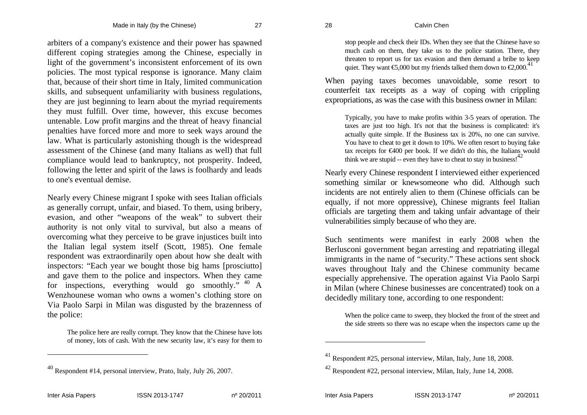arbiters of a company's existence and their power has spawned different coping strategies among the Chinese, especially in light of the government's inconsistent enforcement of its own policies. The most typical response is ignorance. Many claim that, because of their short time in Italy, limited communication skills, and subsequent unfamiliarity with business regulations, they are just beginning to learn about the myriad requirements they must fulfill. Over time, however, this excuse becomes untenable. Low profit margins and the threat of heavy financial penalties have forced more and more to seek ways around the law. What is particularly astonishing though is the widespread assessment of the Chinese (and many Italians as well) that full compliance would lead to bankruptcy, not prosperity. Indeed, following the letter and spirit of the laws is foolhardy and leads to one's eventual demise.

Nearly every Chinese migrant I spoke with sees Italian officials as generally corrupt, unfair, and biased. To them, using bribery, evasion, and other "weapons of the weak" to subvert their authority is not only vital to survival, but also a means of overcoming what they perceive to be grave injustices built into the Italian legal system itself (Scott, 1985). One female respondent was extraordinarily open about how she dealt with inspectors: "Each year we bought those big hams [prosciutto] and gave them to the police and inspectors. When they came for inspections, everything would go smoothly."  $40$  A Wenzhounese woman who owns a women's clothing store on Via Paolo Sarpi in Milan was disgusted by the brazenness of the police:

The police here are really corrupt. They know that the Chinese have lots of money, lots of cash. With the new security law, it's easy for them to

stop people and check their IDs. When they see that the Chinese have so much cash on them, they take us to the police station. There, they threaten to report us for tax evasion and then demand a bribe to keep quiet. They want  $\epsilon$ 5,000 but my friends talked them down to  $\epsilon$ 2,000.<sup>41</sup>

When paying taxes becomes unavoidable, some resort to counterfeit tax receipts as a way of coping with crippling expropriations, as was the case with this business owner in Milan:

Typically, you have to make profits within 3-5 years of operation. The taxes are just too high. It's not that the business is complicated: it's actually quite simple. If the Business tax is 20%, no one can survive. You have to cheat to get it down to 10%. We often resort to buying fake tax receipts for €400 per book. If we didn't do this, the Italians would think we are stupid -- even they have to cheat to stay in business!  $42$ 

Nearly every Chinese respondent I interviewed either experienced something similar or knewsomeone who did. Although such incidents are not entirely alien to them (Chinese officials can be equally, if not more oppressive), Chinese migrants feel Italian officials are targeting them and taking unfair advantage of their vulnerabilities simply because of who they are.

Such sentiments were manifest in early 2008 when the Berlusconi government began arresting and repatriating illegal immigrants in the name of "security." These actions sent shock waves throughout Italy and the Chinese community became especially apprehensive. The operation against Via Paolo Sarpi in Milan (where Chinese businesses are concentrated) took on a decidedly military tone, according to one respondent:

When the police came to sweep, they blocked the front of the street and the side streets so there was no escape when the inspectors came up the

<sup>40</sup> Respondent #14, personal interview, Prato, Italy, July 26, 2007.

<sup>41</sup> Respondent #25, personal interview, Milan, Italy, June 18, 2008.

 $42$  Respondent #22, personal interview, Milan, Italy, June 14, 2008.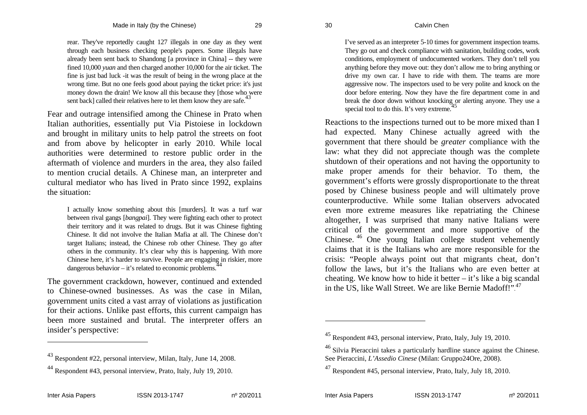rear. They've reportedly caught 127 illegals in one day as they went through each business checking people's papers. Some illegals have already been sent back to Shandong [a province in China] -- they were fined 10,000 *yuan* and then charged another 10,000 for the air ticket. The fine is just bad luck -it was the result of being in the wrong place at the wrong time. But no one feels good about paying the ticket price: it's just money down the drain! We know all this because they [those who were sent back] called their relatives here to let them know they are safe. $43$ 

Fear and outrage intensified among the Chinese in Prato when Italian authorities, essentially put Via Pistoiese in lockdown and brought in military units to help patrol the streets on foot and from above by helicopter in early 2010. While local authorities were determined to restore public order in the aftermath of violence and murders in the area, they also failed to mention crucial details. A Chinese man, an interpreter and cultural mediator who has lived in Prato since 1992, explains the situation:

I actually know something about this [murders]. It was a turf war between rival gangs [*bangpai*]. They were fighting each other to protect their territory and it was related to drugs. But it was Chinese fighting Chinese. It did not involve the Italian Mafia at all. The Chinese don't target Italians; instead, the Chinese rob other Chinese. They go after others in the community. It's clear why this is happening. With more Chinese here, it's harder to survive. People are engaging in riskier, more dangerous behavior – it's related to economic problems.<sup>4</sup>

The government crackdown, however, continued and extended to Chinese-owned businesses. As was the case in Milan, government units cited a vast array of violations as justification for their actions. Unlike past efforts, this current campaign has been more sustained and brutal. The interpreter offers an insider's perspective:

I've served as an interpreter 5-10 times for government inspection teams. They go out and check compliance with sanitation, building codes, work conditions, employment of undocumented workers. They don't tell you anything before they move out: they don't allow me to bring anything or drive my own car. I have to ride with them. The teams are more aggressive now. The inspectors used to be very polite and knock on the door before entering. Now they have the fire department come in and break the door down without knocking or alerting anyone. They use a special tool to do this. It's very extreme.<sup>45</sup>

Reactions to the inspections turned out to be more mixed than I had expected. Many Chinese actually agreed with the government that there should be *greater* compliance with the law: what they did not appreciate though was the complete shutdown of their operations and not having the opportunity to make proper amends for their behavior. To them, the governmen<sup>t</sup>'s efforts were grossly disproportionate to the threat posed by Chinese business people and will ultimately prove counterproductive. While some Italian observers advocated even more extreme measures like repatriating the Chinese altogether, I was surprised that many native Italians were critical of the government and more supportive of the Chinese. <sup>46</sup> One young Italian college student vehemently claims that it is the Italians who are more responsible for the crisis: "People always point out that migrants cheat, don't follow the laws, but it's the Italians who are even better at cheating. We know how to hide it better – it's like a big scandal in the US, like Wall Street. We are like Bernie Madoff!".<sup>47</sup>

<sup>43</sup> Respondent #22, personal interview, Milan, Italy, June 14, 2008.

<sup>44</sup> Respondent #43, personal interview, Prato, Italy, July 19, 2010.

<sup>&</sup>lt;sup>45</sup> Respondent #43, personal interview, Prato, Italy, July 19, 2010.

<sup>&</sup>lt;sup>46</sup> Silvia Pieraccini takes a particularly hardline stance against the Chinese. See Pieraccini, *L'Assedio Cinese* (Milan: Gruppo24Ore, 2008).

 $^{47}$  Respondent #45, personal interview, Prato, Italy, July 18, 2010.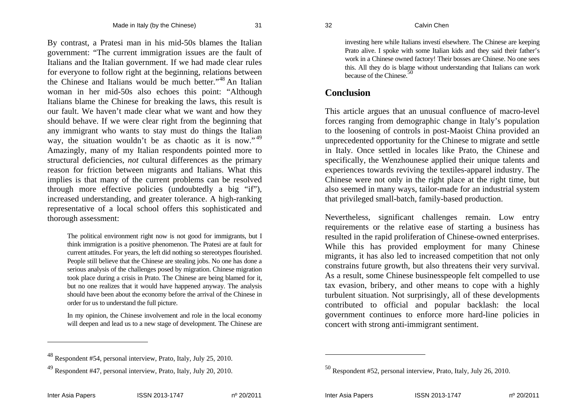By contrast, a Pratesi man in his mid-50s blames the Italian government: "The current immigration issues are the fault of Italians and the Italian government. If we had made clear rules for everyone to follow right at the beginning, relations between the Chinese and Italians would be much better."<sup>48</sup> An Italian woman in her mid-50s also echoes this point: "Although Italians blame the Chinese for breaking the laws, this result is our fault. We haven't made clear what we want and how they should behave. If we were clear right from the beginning that any immigrant who wants to stay must do things the Italian way, the situation wouldn't be as chaotic as it is now."<sup>49</sup> Amazingly, many of my Italian respondents pointed more to structural deficiencies, *not* cultural differences as the primary reason for friction between migrants and Italians. What this implies is that many of the current problems can be resolved through more effective policies (undoubtedly a big "if"), increased understanding, and greater tolerance. A high-ranking representative of a local school offers this sophisticated and thorough assessment:

The political environment right now is not good for immigrants, but I think immigration is a positive phenomenon. The Pratesi are at fault for current attitudes. For years, the left did nothing so stereotypes flourished. People still believe that the Chinese are stealing jobs. No one has done a serious analysis of the challenges posed by migration. Chinese migration took place during a crisis in Prato. The Chinese are being blamed for it, but no one realizes that it would have happened anyway. The analysis should have been about the economy before the arrival of the Chinese in order for us to understand the full picture.

In my opinion, the Chinese involvement and role in the local economy will deepen and lead us to a new stage of development. The Chinese are

investing here while Italians investí elsewhere. The Chinese are keeping Prato alive. I spoke with some Italian kids and they said their father's work in a Chinese owned factory! Their bosses are Chinese. No one sees this. All they do is blame without understanding that Italians can work because of the Chinese.  $50$ 

#### **Conclusion**

This article argues that an unusual confluence of macro-level forces ranging from demographic change in Italy's population to the loosening of controls in post-Maoist China provided an unprecedented opportunity for the Chinese to migrate and settle in Italy. Once settled in locales like Prato, the Chinese and specifically, the Wenzhounese applied their unique talents and experiences towards reviving the textiles-apparel industry. The Chinese were not only in the right place at the right time, but also seemed in many ways, tailor-made for an industrial system that privileged small-batch, family-based production.

Nevertheless, significant challenges remain. Low entry requirements or the relative ease of starting a business has resulted in the rapid proliferation of Chinese-owned enterprises. While this has provided employment for many Chinese migrants, it has also led to increased competition that not only constrains future growth, but also threatens their very survival. As a result, some Chinese businesspeople felt compelled to use tax evasion, bribery, and other means to cope with a highly turbulent situation. Not surprisingly, all of these developments contributed to official and popular backlash: the local government continues to enforce more hard-line policies in concert with strong anti-immigrant sentiment.

<sup>48</sup> Respondent #54, personal interview, Prato, Italy, July 25, 2010.

<sup>49</sup> Respondent #47, personal interview, Prato, Italy, July 20, 2010.

<sup>50</sup> Respondent #52, personal interview, Prato, Italy, July 26, 2010.